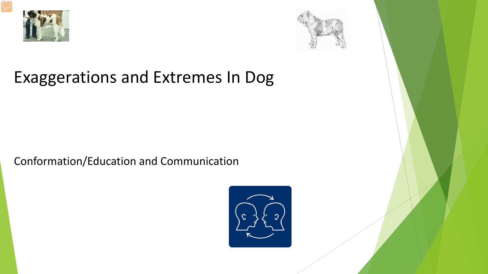



#### Exaggerations and Extremes In Dog

Conformation/Education and Communication

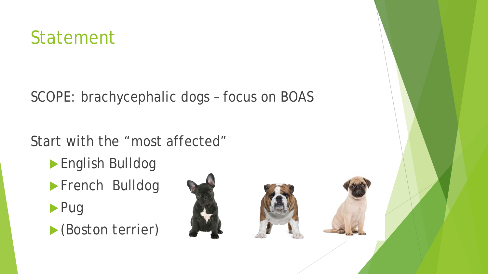

SCOPE: brachycephalic dogs – focus on BOAS

Start with the "most affected"

- English Bulldog
- **French Bulldog**
- $\blacktriangleright$  Pug
- (Boston terrier)

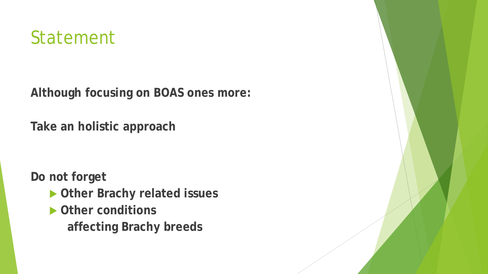## Statement

**Although focusing on BOAS ones more:**

**Take an holistic approach** 

**Do not forget** 

- **Other Brachy related issues**
- **Other conditions** 
	- **affecting Brachy breeds**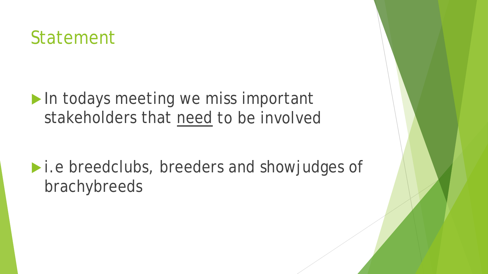## Statement

In todays meeting we miss important stakeholders that need to be involved

**I.e breedclubs, breeders and showjudges of** brachybreeds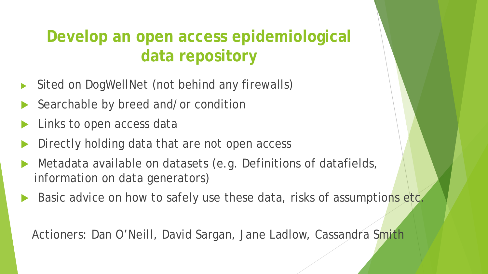#### **Develop an open access epidemiological data repository**

- Sited on DogWellNet (not behind any firewalls)
- Searchable by breed and/or condition
- Links to open access data
- Directly holding data that are not open access
- Metadata available on datasets (e.g. Definitions of datafields, information on data generators)
- Basic advice on how to safely use these data, risks of assumptions etc.

Actioners: Dan O'Neill, David Sargan, Jane Ladlow, Cassandra Smith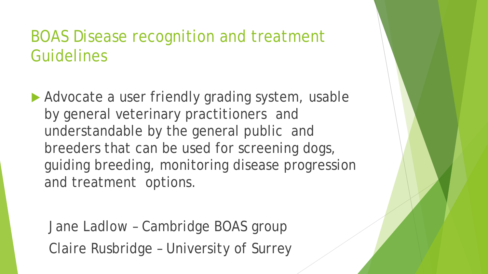#### BOAS Disease recognition and treatment Guidelines

Advocate a user friendly grading system, usable by general veterinary practitioners and understandable by the general public and breeders that can be used for screening dogs, guiding breeding, monitoring disease progression and treatment options.

Jane Ladlow – Cambridge BOAS group Claire Rusbridge – University of Surrey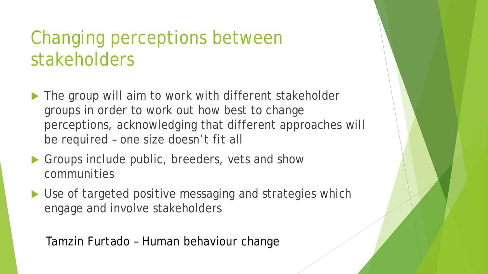## Changing perceptions between stakeholders

- ▶ The group will aim to work with different stakeholder groups in order to work out how best to change perceptions, acknowledging that different approaches will be required – one size doesn't fit all
- Groups include public, breeders, vets and show communities
- ▶ Use of targeted positive messaging and strategies which engage and involve stakeholders

Tamzin Furtado – Human behaviour change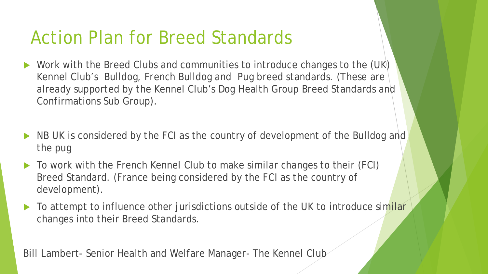## Action Plan for Breed Standards

- Work with the Breed Clubs and communities to introduce changes to the (UK) Kennel Club's Bulldog, French Bulldog and Pug breed standards. (These are already supported by the Kennel Club's Dog Health Group Breed Standards and Confirmations Sub Group).
- NB UK is considered by the FCI as the country of development of the Bulldog and the pug
- To work with the French Kennel Club to make similar changes to their (FCI) Breed Standard. (France being considered by the FCI as the country of development).
- To attempt to influence other jurisdictions outside of the UK to introduce similar changes into their Breed Standards.

Bill Lambert- Senior Health and Welfare Manager- The Kennel Club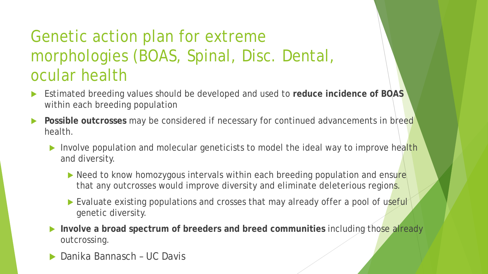## Genetic action plan for extreme morphologies (BOAS, Spinal, Disc. Dental, ocular health

- Estimated breeding values should be developed and used to **reduce incidence of BOAS**  within each breeding population
- **Possible outcrosses** may be considered if necessary for continued advancements in breed health.
	- Involve population and molecular geneticists to model the ideal way to improve health and diversity.
		- Need to know homozygous intervals within each breeding population and ensure that any outcrosses would improve diversity and eliminate deleterious regions.
		- Evaluate existing populations and crosses that may already offer a pool of useful genetic diversity.
	- **Involve a broad spectrum of breeders and breed communities including those already** outcrossing.
	- ▶ Danika Bannasch UC Davis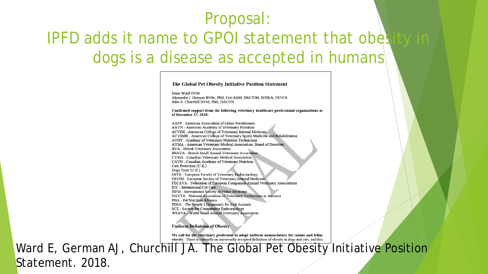## Proposal: IPFD adds it name to GPOI statement that obes dogs is a disease as accepted in humans

#### The Global Pet Obesity Initiative Position Statement Ernie Ward DVM Alexander J. German BVSc, PhD, Cert SAM, DECVIM, SFHEA, FRVCS Julie A. Churchill DVM. PhD. DACVN Confirmed support from the following veterinary healthcare professional organizations as of December 17, 2018:

AAFP - American Association of Feline Practitioners AAVN - American Academy of Veterinary Nutrition ACVIM - American College of Veterinary Internal Medicine ACVSMR - American College of Veterinary Sports Medicine and Rehabilitation AVNT - Academy of Veterinary Nutrition Technicians AVMA - American Veterinary Medical Association- Board of Directors BVA - British Veterinary Association BSAVA - British Small Animal Veterinary Association CVMA - Canadian Veterinary Medical Association CAVN - Canadian Academy of Veterinary Nutrition Cats Protection (U.K.) Dogs Trust (U.K.) ESVE - European Society of Veterinary Endocrinology ESVIM - European Society of Veterinary Internal Medicine FECAVA - Federation of European Companion Animal Veterinary Associations ICC - International Cat Care ISFM - International Society of Feline Medicine NAVTA - National Association of Veterinary Technicians in America **PNA** - Pet Nutrition Alliance. PDSA - The People's Dispensary for Sick Animals **SCE** - Society for Comparative Endocrinology WSAVA - World Small Animal Veterinary Association

**Uniform Definition of Obesity** 

We call for the veterinary profession to adopt uniform nomenclature for canine and feline obesity. There is currently no universally-accepted definition of obesity in dogs and cats, and this

Ward E, German AJ, Churchill JA. The Global Pet Obesity Initiative Position Statement. 2018.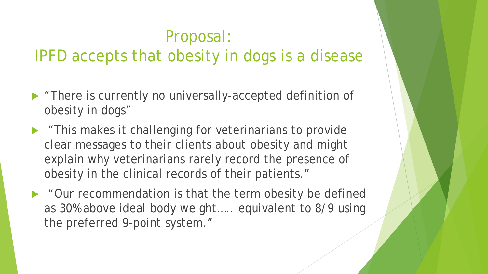#### Proposal: IPFD accepts that obesity in dogs is a disease

- **There is currently no universally-accepted definition of** obesity in dogs"
- This makes it challenging for veterinarians to provide clear messages to their clients about obesity and might explain why veterinarians rarely record the presence of obesity in the clinical records of their patients."
- "Our recommendation is that the term obesity be defined as 30% above ideal body weight….. equivalent to 8/9 using the preferred 9-point system."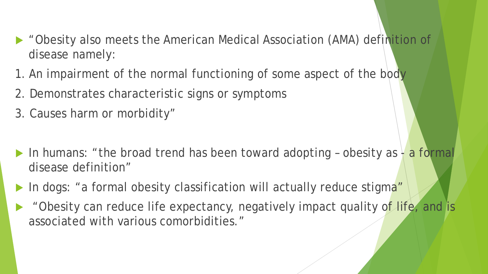- "Obesity also meets the American Medical Association (AMA) definition of disease namely:
- 1. An impairment of the normal functioning of some aspect of the body
- 2. Demonstrates characteristic signs or symptoms
- 3. Causes harm or morbidity"
- In humans: "the broad trend has been toward adopting obesity as  $\frac{1}{2}$  a formal disease definition"
- In dogs: "a formal obesity classification will actually reduce stigma"
- "Obesity can reduce life expectancy, negatively impact quality of life, and is associated with various comorbidities."